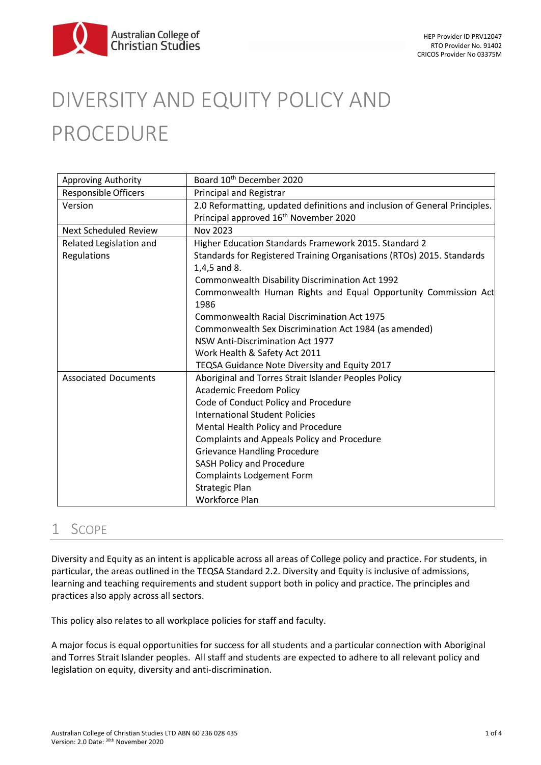

# DIVERSITY AND EQUITY POLICY AND PROCEDURE

| Approving Authority          | Board 10 <sup>th</sup> December 2020                                       |
|------------------------------|----------------------------------------------------------------------------|
| Responsible Officers         | <b>Principal and Registrar</b>                                             |
| Version                      | 2.0 Reformatting, updated definitions and inclusion of General Principles. |
|                              | Principal approved 16 <sup>th</sup> November 2020                          |
| <b>Next Scheduled Review</b> | Nov 2023                                                                   |
| Related Legislation and      | Higher Education Standards Framework 2015. Standard 2                      |
| Regulations                  | Standards for Registered Training Organisations (RTOs) 2015. Standards     |
|                              | 1,4,5 and 8.                                                               |
|                              | Commonwealth Disability Discrimination Act 1992                            |
|                              | Commonwealth Human Rights and Equal Opportunity Commission Act             |
|                              | 1986                                                                       |
|                              | Commonwealth Racial Discrimination Act 1975                                |
|                              | Commonwealth Sex Discrimination Act 1984 (as amended)                      |
|                              | <b>NSW Anti-Discrimination Act 1977</b>                                    |
|                              | Work Health & Safety Act 2011                                              |
|                              | TEQSA Guidance Note Diversity and Equity 2017                              |
| <b>Associated Documents</b>  | Aboriginal and Torres Strait Islander Peoples Policy                       |
|                              | <b>Academic Freedom Policy</b>                                             |
|                              | Code of Conduct Policy and Procedure                                       |
|                              | <b>International Student Policies</b>                                      |
|                              | Mental Health Policy and Procedure                                         |
|                              | Complaints and Appeals Policy and Procedure                                |
|                              | <b>Grievance Handling Procedure</b>                                        |
|                              | <b>SASH Policy and Procedure</b>                                           |
|                              | <b>Complaints Lodgement Form</b>                                           |
|                              | <b>Strategic Plan</b>                                                      |
|                              | Workforce Plan                                                             |

## 1 SCOPE

Diversity and Equity as an intent is applicable across all areas of College policy and practice. For students, in particular, the areas outlined in the TEQSA Standard 2.2. Diversity and Equity is inclusive of admissions, learning and teaching requirements and student support both in policy and practice. The principles and practices also apply across all sectors.

This policy also relates to all workplace policies for staff and faculty.

A major focus is equal opportunities for success for all students and a particular connection with Aboriginal and Torres Strait Islander peoples. All staff and students are expected to adhere to all relevant policy and legislation on equity, diversity and anti-discrimination.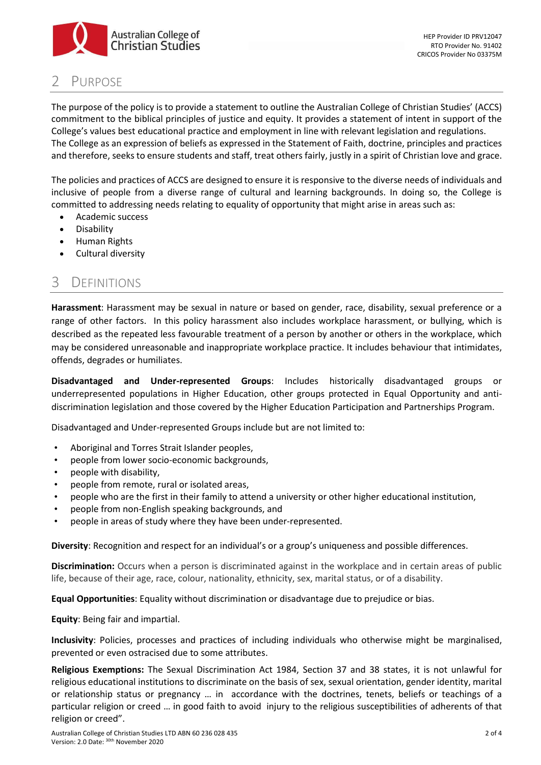

# PURPOSE

The purpose of the policy is to provide a statement to outline the Australian College of Christian Studies' (ACCS) commitment to the biblical principles of justice and equity. It provides a statement of intent in support of the College's values best educational practice and employment in line with relevant legislation and regulations. The College as an expression of beliefs as expressed in the Statement of Faith, doctrine, principles and practices and therefore, seeks to ensure students and staff, treat others fairly, justly in a spirit of Christian love and grace.

The policies and practices of ACCS are designed to ensure it is responsive to the diverse needs of individuals and inclusive of people from a diverse range of cultural and learning backgrounds. In doing so, the College is committed to addressing needs relating to equality of opportunity that might arise in areas such as:

- Academic success
- Disability
- Human Rights
- Cultural diversity

# 3 DEFINITIONS

**Harassment**: Harassment may be sexual in nature or based on gender, race, disability, sexual preference or a range of other factors. In this policy harassment also includes workplace harassment, or bullying, which is described as the repeated less favourable treatment of a person by another or others in the workplace, which may be considered unreasonable and inappropriate workplace practice. It includes behaviour that intimidates, offends, degrades or humiliates.

**Disadvantaged and Under-represented Groups**: Includes historically disadvantaged groups or underrepresented populations in Higher Education, other groups protected in Equal Opportunity and antidiscrimination legislation and those covered by the Higher Education Participation and Partnerships Program.

Disadvantaged and Under-represented Groups include but are not limited to:

- Aboriginal and Torres Strait Islander peoples,
- people from lower socio-economic backgrounds,
- people with disability,
- people from remote, rural or isolated areas,
- people who are the first in their family to attend a university or other higher educational institution,
- people from non-English speaking backgrounds, and
- people in areas of study where they have been under-represented.

**Diversity**: Recognition and respect for an individual's or a group's uniqueness and possible differences.

**Discrimination:** Occurs when a person is discriminated against in the workplace and in certain areas of public life, because of their age, race, colour, nationality, ethnicity, sex, marital status, or of a disability.

**Equal Opportunities**: Equality without discrimination or disadvantage due to prejudice or bias.

**Equity**: Being fair and impartial.

**Inclusivity**: Policies, processes and practices of including individuals who otherwise might be marginalised, prevented or even ostracised due to some attributes.

**Religious Exemptions:** The Sexual Discrimination Act 1984, Section 37 and 38 states, it is not unlawful for religious educational institutions to discriminate on the basis of sex, sexual orientation, gender identity, marital or relationship status or pregnancy … in accordance with the doctrines, tenets, beliefs or teachings of a particular religion or creed … in good faith to avoid injury to the religious susceptibilities of adherents of that religion or creed".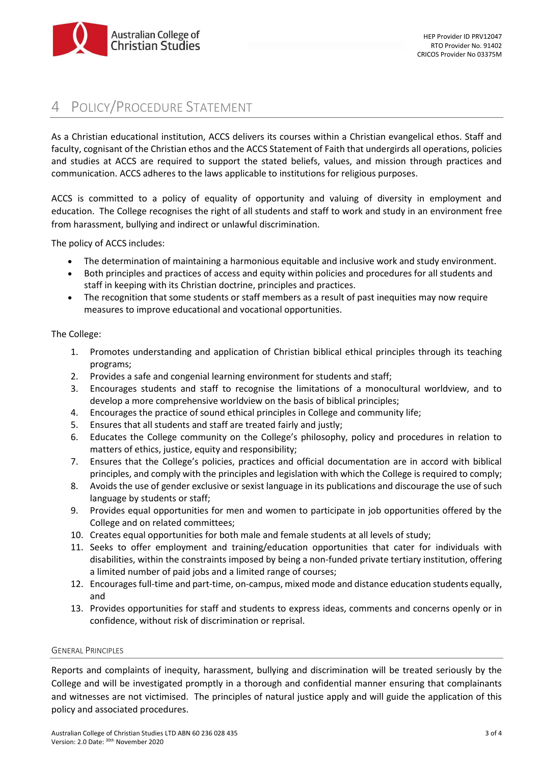

## POLICY/PROCEDURE STATEMENT

As a Christian educational institution, ACCS delivers its courses within a Christian evangelical ethos. Staff and faculty, cognisant of the Christian ethos and the ACCS Statement of Faith that undergirds all operations, policies and studies at ACCS are required to support the stated beliefs, values, and mission through practices and communication. ACCS adheres to the laws applicable to institutions for religious purposes.

ACCS is committed to a policy of equality of opportunity and valuing of diversity in employment and education. The College recognises the right of all students and staff to work and study in an environment free from harassment, bullying and indirect or unlawful discrimination.

The policy of ACCS includes:

- The determination of maintaining a harmonious equitable and inclusive work and study environment.
- Both principles and practices of access and equity within policies and procedures for all students and staff in keeping with its Christian doctrine, principles and practices.
- The recognition that some students or staff members as a result of past inequities may now require measures to improve educational and vocational opportunities.

#### The College:

- 1. Promotes understanding and application of Christian biblical ethical principles through its teaching programs;
- 2. Provides a safe and congenial learning environment for students and staff;
- 3. Encourages students and staff to recognise the limitations of a monocultural worldview, and to develop a more comprehensive worldview on the basis of biblical principles;
- 4. Encourages the practice of sound ethical principles in College and community life;
- 5. Ensures that all students and staff are treated fairly and justly;
- 6. Educates the College community on the College's philosophy, policy and procedures in relation to matters of ethics, justice, equity and responsibility;
- 7. Ensures that the College's policies, practices and official documentation are in accord with biblical principles, and comply with the principles and legislation with which the College is required to comply;
- 8. Avoids the use of gender exclusive or sexist language in its publications and discourage the use of such language by students or staff;
- 9. Provides equal opportunities for men and women to participate in job opportunities offered by the College and on related committees;
- 10. Creates equal opportunities for both male and female students at all levels of study;
- 11. Seeks to offer employment and training/education opportunities that cater for individuals with disabilities, within the constraints imposed by being a non-funded private tertiary institution, offering a limited number of paid jobs and a limited range of courses;
- 12. Encourages full-time and part-time, on-campus, mixed mode and distance education students equally, and
- 13. Provides opportunities for staff and students to express ideas, comments and concerns openly or in confidence, without risk of discrimination or reprisal.

#### GENERAL PRINCIPLES

Reports and complaints of inequity, harassment, bullying and discrimination will be treated seriously by the College and will be investigated promptly in a thorough and confidential manner ensuring that complainants and witnesses are not victimised. The principles of natural justice apply and will guide the application of this policy and associated procedures.